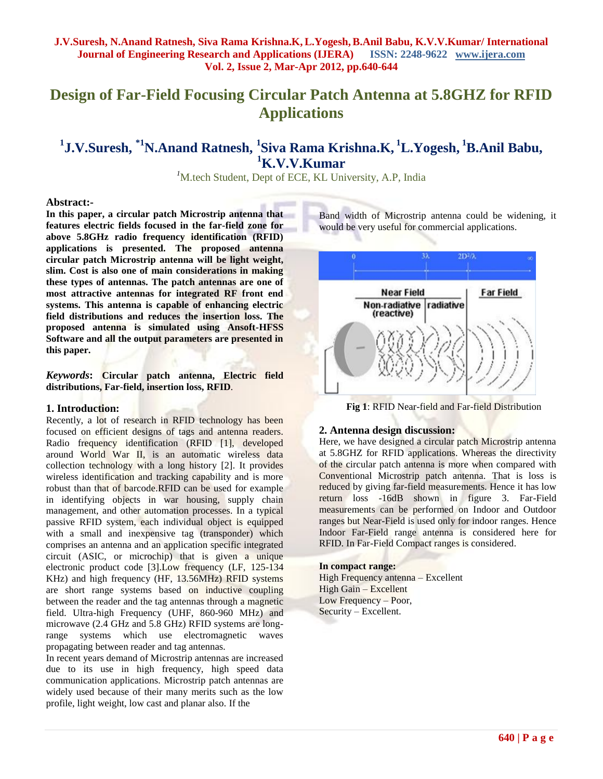# **Design of Far-Field Focusing Circular Patch Antenna at 5.8GHZ for RFID Applications**

## **1 J.V.Suresh, \*1N.Anand Ratnesh, <sup>1</sup> Siva Rama Krishna.K, <sup>1</sup>L.Yogesh, <sup>1</sup>B.Anil Babu, <sup>1</sup>K.V.V.Kumar**

*<sup>1</sup>*M.tech Student, Dept of ECE, KL University, A.P, India

#### **Abstract:-**

**In this paper, a circular patch Microstrip antenna that features electric fields focused in the far-field zone for above 5.8GHz radio frequency identification (RFID) applications is presented. The proposed antenna circular patch Microstrip antenna will be light weight, slim. Cost is also one of main considerations in making these types of antennas. The patch antennas are one of most attractive antennas for integrated RF front end systems. This antenna is capable of enhancing electric field distributions and reduces the insertion loss. The proposed antenna is simulated using Ansoft-HFSS Software and all the output parameters are presented in this paper.**

*Keywords***: Circular patch antenna, Electric field distributions, Far-field, insertion loss, RFID**.

#### **1. Introduction:**

Recently, a lot of research in RFID technology has been focused on efficient designs of tags and antenna readers. Radio frequency identification (RFID [1], developed around World War II, is an automatic wireless data collection technology with a long history [2]. It provides wireless identification and tracking capability and is more robust than that of barcode.RFID can be used for example in identifying objects in war housing, supply chain management, and other automation processes. In a typical passive RFID system, each individual object is equipped with a small and inexpensive tag (transponder) which comprises an antenna and an application specific integrated circuit (ASIC, or microchip) that is given a unique electronic product code [3].Low frequency (LF, 125-134 KHz) and high frequency (HF, 13.56MHz) RFID systems are short range systems based on inductive coupling between the reader and the tag antennas through a magnetic field. Ultra-high Frequency (UHF, 860-960 MHz) and microwave (2.4 GHz and 5.8 GHz) RFID systems are longrange systems which use electromagnetic waves propagating between reader and tag antennas.

In recent years demand of Microstrip antennas are increased due to its use in high frequency, high speed data communication applications. Microstrip patch antennas are widely used because of their many merits such as the low profile, light weight, low cast and planar also. If the

Band width of Microstrip antenna could be widening, it would be very useful for commercial applications.



 **Fig 1**: RFID Near-field and Far-field Distribution

#### **2. Antenna design discussion:**

Here, we have designed a circular patch Microstrip antenna at 5.8GHZ for RFID applications. Whereas the directivity of the circular patch antenna is more when compared with Conventional Microstrip patch antenna. That is loss is reduced by giving far-field measurements. Hence it has low return loss -16dB shown in figure 3. Far-Field measurements can be performed on Indoor and Outdoor ranges but Near-Field is used only for indoor ranges. Hence Indoor Far-Field range antenna is considered here for RFID. In Far-Field Compact ranges is considered.

#### **In compact range:**

High Frequency antenna – Excellent High Gain – Excellent Low Frequency – Poor, Security – Excellent.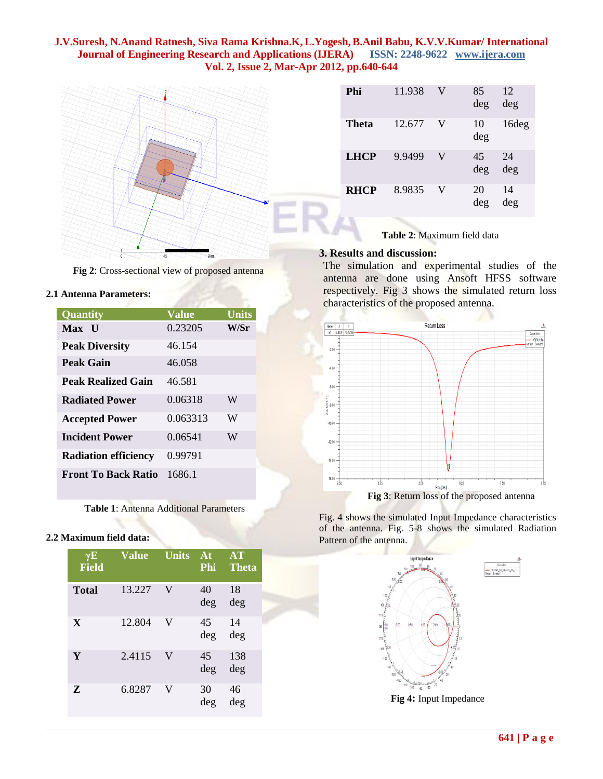

**Fig 2**: Cross-sectional view of proposed antenna

#### **2.1 Antenna Parameters:**

| <b>Quantity</b>             | <b>Value</b> | <b>Units</b> |
|-----------------------------|--------------|--------------|
| Max U                       | 0.23205      | W/Sr         |
| <b>Peak Diversity</b>       | 46.154       |              |
| Peak Gain                   | 46.058       |              |
| Peak Realized Gain          | 46.581       |              |
| <b>Radiated Power</b>       | 0.06318      | W            |
| <b>Accepted Power</b>       | 0.063313     | W            |
| <b>Incident Power</b>       | 0.06541      | W            |
| <b>Radiation efficiency</b> | 0.99791      |              |
| <b>Front To Back Ratio</b>  | 16861        |              |

**Table 1**: Antenna Additional Parameters

#### **2.2 Maximum field data:**

| $\gamma E$<br><b>Field</b> | <b>Value</b> | <b>Units</b> | At<br>Phi | <b>AT</b><br><b>Theta</b> |
|----------------------------|--------------|--------------|-----------|---------------------------|
| <b>Total</b>               | 13.227       | V            | 40<br>deg | 18<br>deg                 |
| $\mathbf{X}$               | 12.804       | V            | 45<br>deg | 14<br>deg                 |
| Y                          | 2.4115       | V            | 45<br>deg | 138<br>deg                |
| Z                          | 6.8287       | V            | 30<br>deg | 46<br>deg                 |

| Phi          | 11.938 | V | 85<br>deg | 12<br>deg |
|--------------|--------|---|-----------|-----------|
| <b>Theta</b> | 12.677 | V | 10<br>deg | 16deg     |
| <b>LHCP</b>  | 9.9499 | V | 45<br>deg | 24<br>deg |
| <b>RHCP</b>  | 8.9835 | V | 20<br>deg | 14<br>deg |

 **Table 2**: Maximum field data

#### **3. Results and discussion:**

The simulation and experimental studies of the antenna are done using Ansoft HFSS software respectively. Fig 3 shows the simulated return loss characteristics of the proposed antenna.







**Fig 4:** Input Impedance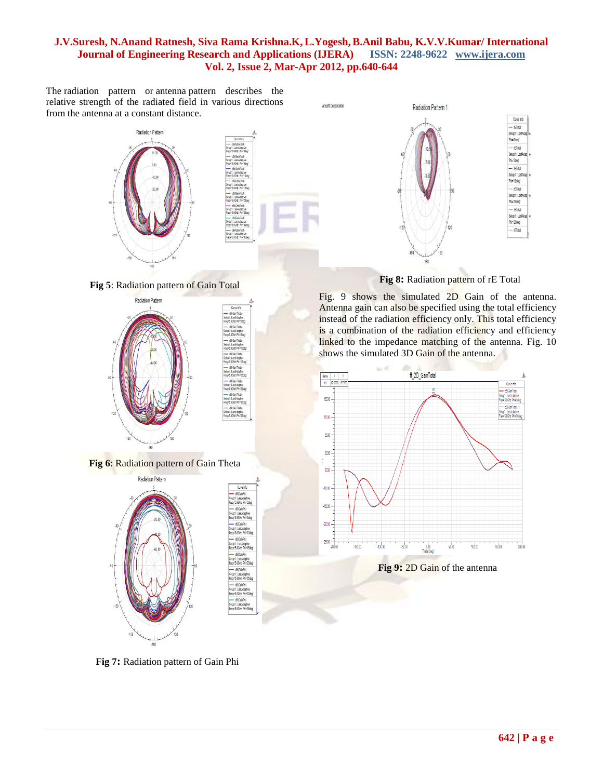The radiation pattern or antenna pattern describes the relative strength of the radiated field in various directions from the antenna at a constant distance.



Ansoft Corporatio

**Fig 5**: Radiation pattern of Gain Total



**Fig 6**: Radiation pattern of Gain Theta



 **Fig 8:** Radiation pattern of rE Total

Curve info - rETotal

Setup1 : LastAd hi='Odeg' - rETotal Setup1 : LastAdap Phi='Sdeg'  $-$  rETotal Setup1 : LastAdap Phi='10deg'  $-$  rETotal Setup1 : LastAdap Phi='15deg'  $-$  feTotal Setup1 : LastAdap Phi='20deg' - rETotal

Fig. 9 shows the simulated 2D Gain of the antenna. Antenna gain can also be specified using the total efficiency instead of the radiation efficiency only. This total efficiency is a combination of the radiation efficiency and efficiency linked to the impedance matching of the antenna. Fig. 10 shows the simulated 3D Gain of the antenna.



 **Fig 7:** Radiation pattern of Gain Phi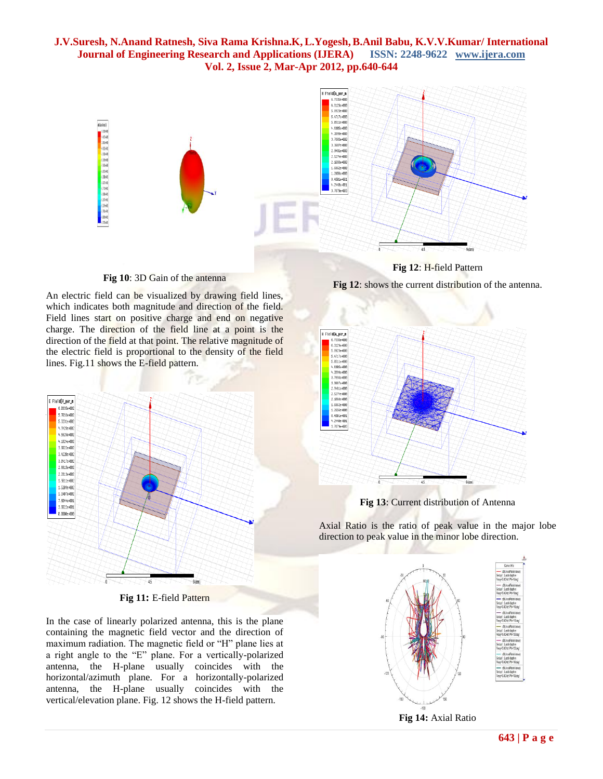

**Fig 12**: H-field Pattern

**Fig 10**: 3D Gain of the antenna

An electric field can be visualized by drawing field lines, which indicates both magnitude and direction of the field. Field lines start on positive charge and end on negative charge. The direction of the field line at a point is the direction of the field at that point. The relative magnitude of the electric field is proportional to the density of the field lines. Fig.11 shows the E-field pattern.



**Fig 11:** E-field Pattern

In the case of linearly polarized antenna, this is the plane containing the magnetic field vector and the direction of maximum radiation. The magnetic field or "H" plane lies at a right angle to the "E" plane. For a vertically-polarized antenna, the H-plane usually coincides with the horizontal/azimuth plane. For a horizontally-polarized antenna, the H-plane usually coincides with the vertical/elevation plane. Fig. 12 shows the H-field pattern.

**Fig 12**: shows the current distribution of the antenna.



**Fig 13**: Current distribution of Antenna

Axial Ratio is the ratio of peak value in the major lobe direction to peak value in the minor lobe direction.